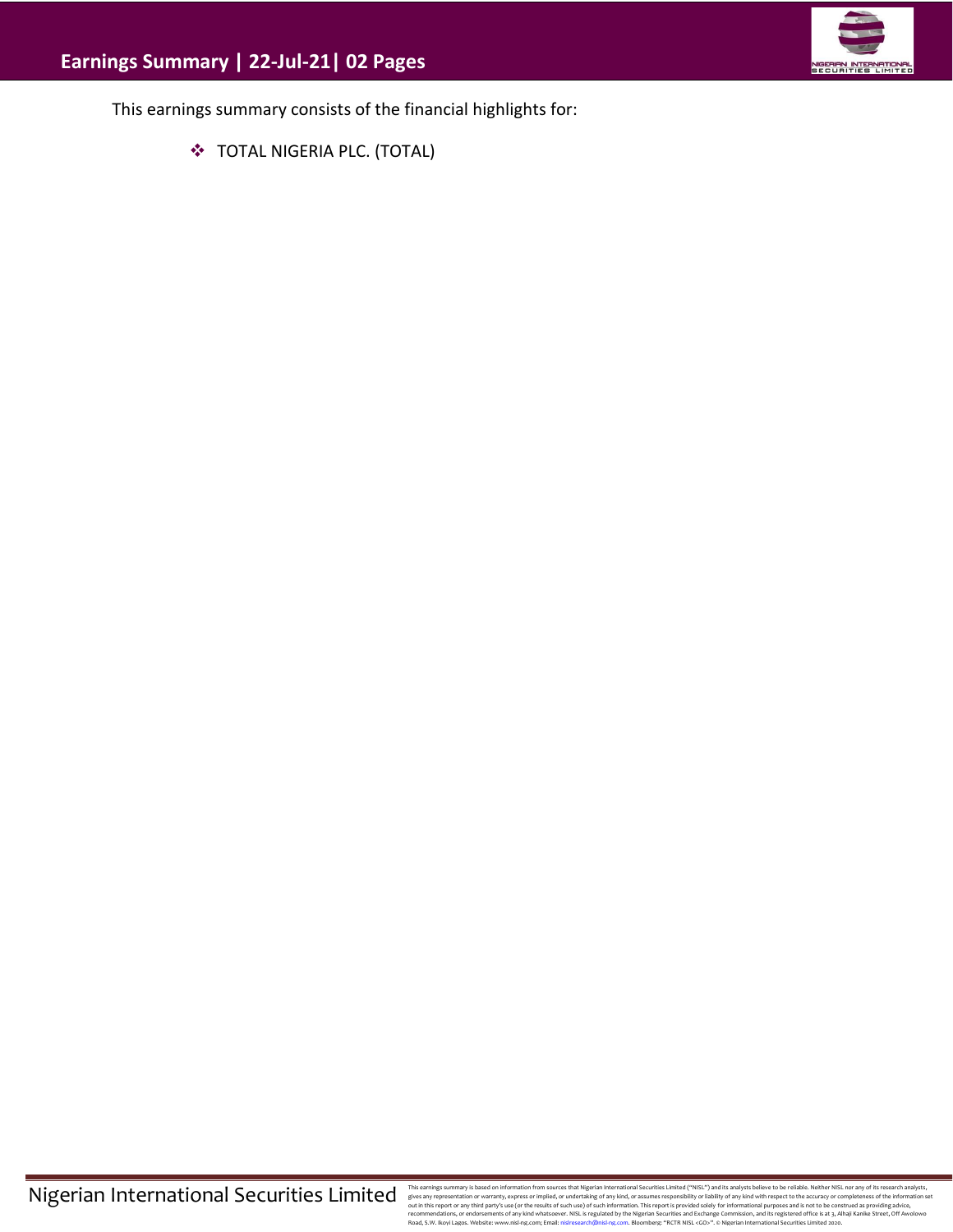

This earnings summary consists of the financial highlights for:

❖ TOTAL NIGERIA PLC. (TOTAL)

This earnings summary is based on information from sources that Migretian Interactional Securities Limitated ("WISL") and this analysts believe to be reliable. Neither NISL nor any of its research analysts, effects any exp